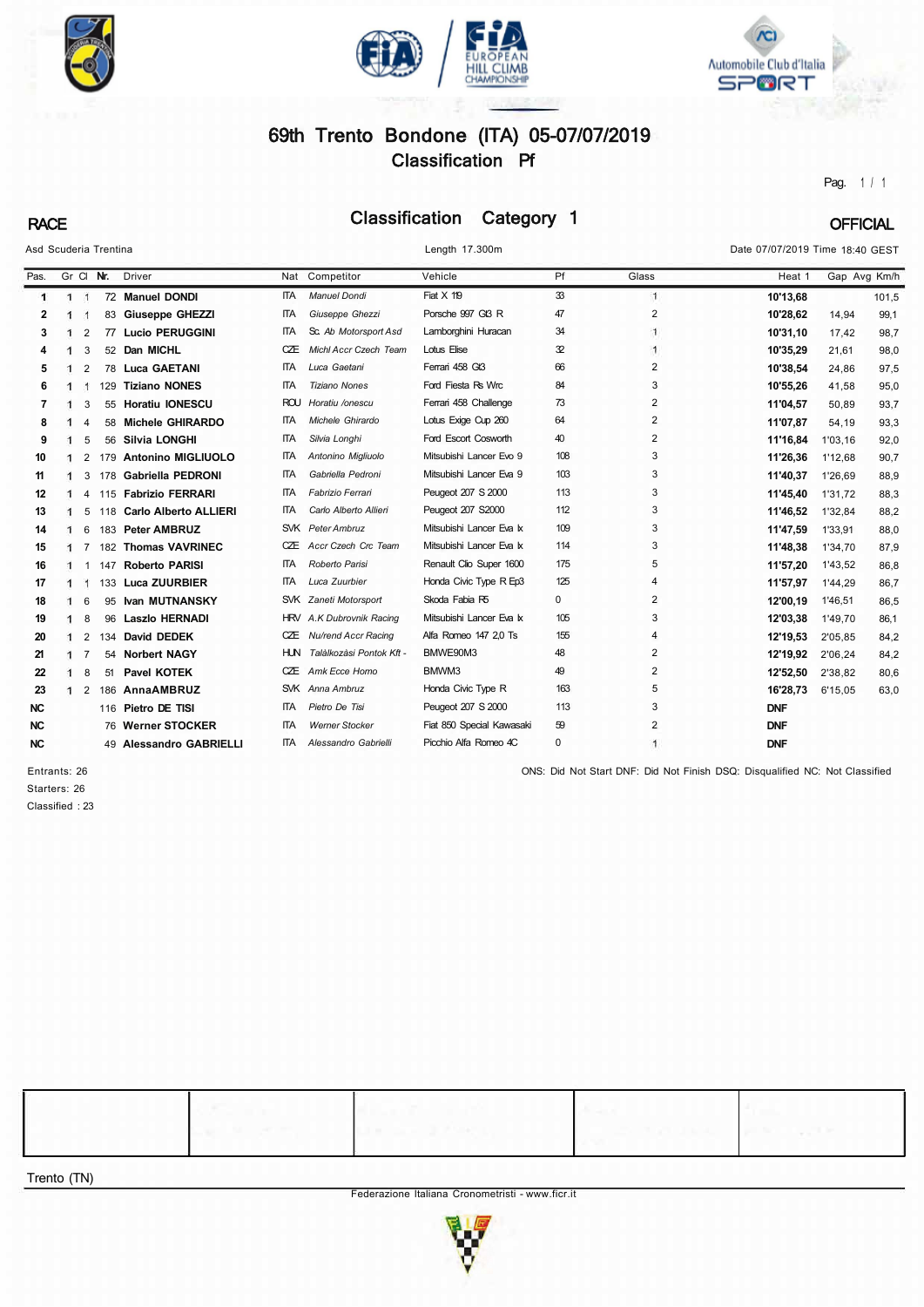





# 69th Trento Bondone (ITA) 05-07/07/2019 Classification Pf

Pag. 1 / 1

# RACE Classification Category 1 OFFICIAL

| Asd Scuderia Trentina |              |                |     |                           |            | Length 17.300m               |                           |             |                | Date 07/07/2019 Time 18:40 GEST |              |       |
|-----------------------|--------------|----------------|-----|---------------------------|------------|------------------------------|---------------------------|-------------|----------------|---------------------------------|--------------|-------|
| Pas.                  | Gr Cl Nr.    |                |     | <b>Driver</b>             |            | Nat Competitor               | Vehicle                   | Pf          | Glass          | Heat 1                          | Gap Avg Km/h |       |
| 1                     | $1 \quad 1$  |                |     | 72 Manuel DONDI           | <b>ITA</b> | <b>Manuel Dondi</b>          | Fiat X 119                | 33          | $\mathbf{1}$   | 10'13,68                        |              | 101,5 |
| 2                     | -1           | -1             | 83  | <b>Giuseppe GHEZZI</b>    | <b>ITA</b> | Giuseppe Ghezzi              | Porsche 997 Gf3 R         | 47          | $\overline{2}$ | 10'28,62                        | 14,94        | 99,1  |
| 3                     |              | $\overline{2}$ | 77  | <b>Lucio PERUGGINI</b>    | <b>ITA</b> | Sc. Ab Motorsport Asd        | Lamborghini Huracan       | 34          | $\mathbf{1}$   | 10'31.10                        | 17.42        | 98,7  |
| 4                     |              | 3              | 52  | Dan MICHL                 | CZE        | <b>Michl Accr Czech Team</b> | Lotus Elise               | 32          | $\mathbf{1}$   | 10'35,29                        | 21.61        | 98,0  |
| 5                     |              | $\overline{2}$ | 78  | <b>Luca GAETANI</b>       | <b>ITA</b> | Luca Gaetani                 | Ferrari 458 Gt3           | 66          | $\overline{2}$ | 10'38.54                        | 24.86        | 97,5  |
| 6                     |              | $\mathbf{1}$   | 129 | <b>Tiziano NONES</b>      | ΠTA        | <b>Tiziano Nones</b>         | Ford Fiesta Rs Wrc        | 84          | 3              | 10'55,26                        | 41.58        | 95,0  |
| 7                     |              | 3              |     | 55 Horatiu IONESCU        | ROU        | Horatiu /onescu              | Ferrari 458 Challenge     | 73          | $\overline{2}$ | 11'04,57                        | 50.89        | 93,7  |
| 8                     |              | $\overline{4}$ | 58  | <b>Michele GHIRARDO</b>   | <b>ITA</b> | Michele Ghirardo             | Lotus Exige Cup 260       | 64          | $\overline{2}$ | 11'07,87                        | 54,19        | 93,3  |
| 9                     |              | 5              | 56  | <b>Silvia LONGHI</b>      | <b>ITA</b> | Silvia Longhi                | Ford Escort Cosworth      | 40          | $\overline{2}$ | 11'16,84                        | 1'03,16      | 92,0  |
| 10                    |              | $\overline{2}$ | 179 | <b>Antonino MIGLIUOLO</b> | <b>ITA</b> | Antonino Migliuolo           | Mitsubishi Lancer Evo 9   | 108         | 3              | 11'26,36                        | 1'12,68      | 90,7  |
| 11                    | ា            | 3              | 178 | <b>Gabriella PEDRONI</b>  | <b>ITA</b> | Gabriella Pedroni            | Mitsubishi Lancer Eva 9   | 103         | 3              | 11'40,37                        | 1'26.69      | 88,9  |
| 12                    | $\mathbf{1}$ | 4              |     | 115 Fabrizio FERRARI      | <b>ITA</b> | Fabrizio Ferrari             | Peugeot 207 S 2000        | 113         | 3              | 11'45,40                        | 1'31.72      | 88,3  |
| 13                    |              | 5              | 118 | Carlo Alberto ALLIERI     | <b>ITA</b> | Carlo Alberto Allieri        | Peugeot 207 S2000         | 112         | 3              | 11'46,52                        | 1'32,84      | 88,2  |
| 14                    |              | 6              | 183 | <b>Peter AMBRUZ</b>       |            | SVK Peter Ambruz             | Mitsubishi Lancer Eva k   | 109         | 3              | 11'47,59                        | 1'33.91      | 88,0  |
| 15                    |              | 7              | 182 | <b>Thomas VAVRINEC</b>    | CÆ         | Accr Czech Crc Team          | Mitsubishi Lancer Eva k   | 114         | 3              | 11'48,38                        | 1'34,70      | 87,9  |
| 16                    | 1            | $\overline{1}$ | 147 | <b>Roberto PARISI</b>     | <b>ITA</b> | Roberto Parisi               | Renault Clio Super 1600   | 175         | 5              | 11'57,20                        | 1'43,52      | 86,8  |
| 17                    |              | -1             |     | 133 Luca ZUURBIER         | ПTА.       | Luca Zuurbier                | Honda Civic Type R Ep3    | 125         | $\overline{4}$ | 11'57,97                        | 1'44,29      | 86,7  |
| 18                    |              | 6              | 95  | <b>Ivan MUTNANSKY</b>     |            | SVK Zaneti Motorsport        | Skoda Fabia R5            | $\mathbf 0$ | 2              | 12'00.19                        | 1'46.51      | 86,5  |
| 19                    |              | 8              | 96  | <b>Laszlo HERNADI</b>     |            | HRV A.K Dubrovnik Racing     | Mitsubishi Lancer Eva k   | 105         | 3              | 12'03,38                        | 1'49.70      | 86,1  |
| 20                    | ୀ            | $\overline{2}$ | 134 | David DEDEK               | CÆ         | Nu/rend Accr Racing          | Alfa Romeo 147 2.0 Ts     | 155         | $\overline{4}$ | 12'19,53                        | 2'05,85      | 84,2  |
| 21                    |              | $\overline{7}$ | 54  | <b>Norbert NAGY</b>       | HUN.       | Talàlkozàsi Pontok Kft -     | BMWE90M3                  | 48          | 2              | 12'19,92                        | 2'06,24      | 84,2  |
| 22                    |              | 8              | 51  | <b>Pavel KOTEK</b>        | CÆ         | Amk Ecce Homo                | BMWM3                     | 49          | $\overline{2}$ | 12'52,50                        | 2'38,82      | 80,6  |
| 23                    | 1            | $\overline{2}$ | 186 | AnnaAMBRUZ                |            | SVK Anna Ambruz              | Honda Civic Type R        | 163         | 5              | 16'28,73                        | 6'15,05      | 63,0  |
| <b>NC</b>             |              |                |     | 116 Pietro DE TISI        | IТA.       | Pietro De Tisi               | Peugeot 207 S 2000        | 113         | 3              | <b>DNF</b>                      |              |       |
| <b>NC</b>             |              |                |     | 76 Werner STOCKER         | ΠA         | <b>Werner Stocker</b>        | Fiat 850 Special Kawasaki | 59          | 2              | <b>DNF</b>                      |              |       |
| <b>NC</b>             |              |                |     | 49 Alessandro GABRIELLI   | <b>ITA</b> | Alessandro Gabrielli         | Picchio Alfa Romeo 4C     | $\pmb{0}$   |                | <b>DNF</b>                      |              |       |

Starters: 26 Classified : 23

Entrants: 26 ONS: Did Not Start DNF: Did Not Finish DSQ: Disqualified NC: Not Classified

Trento (TN)

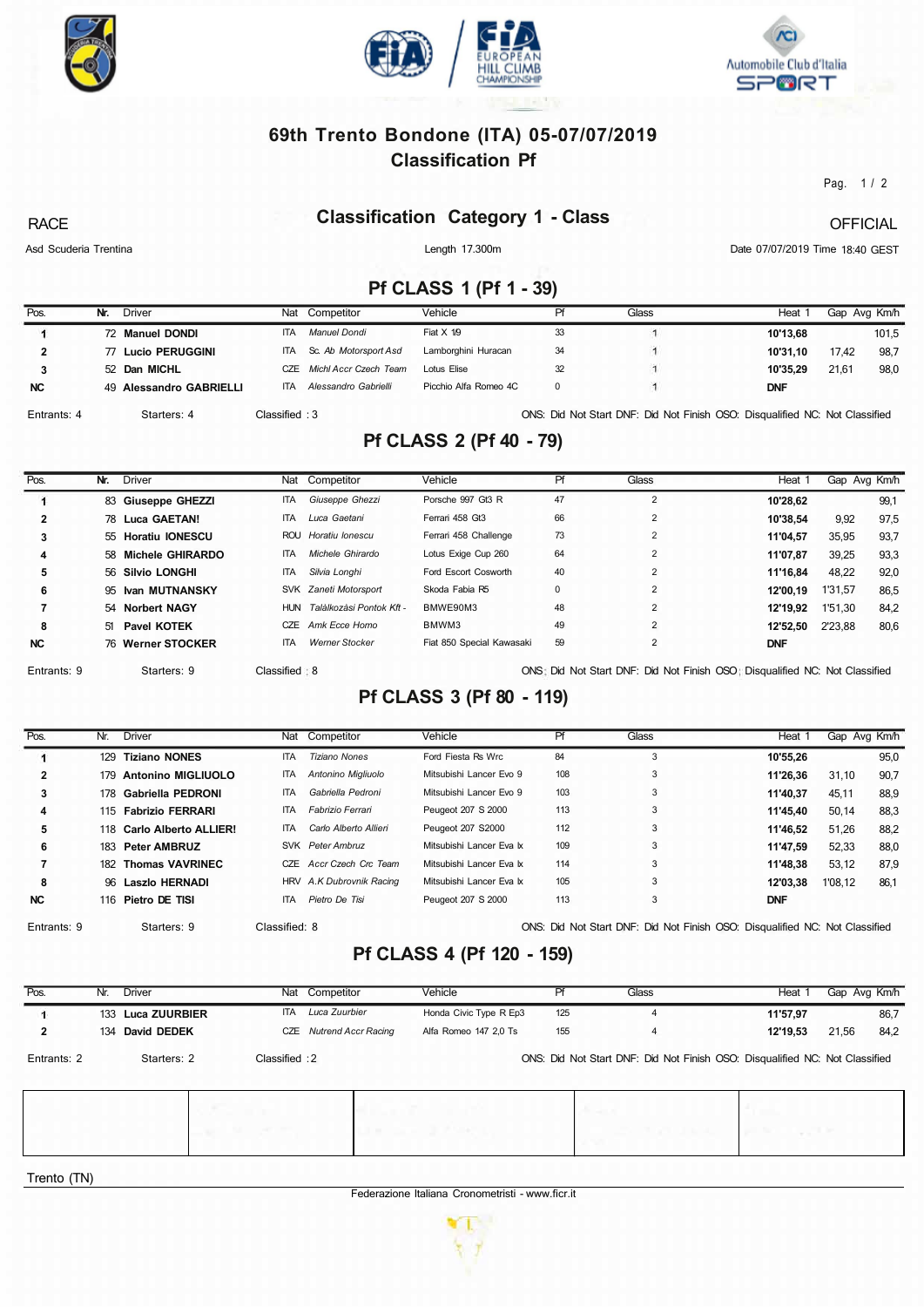





#### **69th Trento Bondone (ITA) 05-07/07/2019 Classification Pf**

Pag. 1 / 2

#### **Classification Category 1 - Class**

RACE

Length 17.300m

**OFFICIAL** 

Asd Scuderia Trentina

Date 07/07/2019 Time 18:40 GEST

## **Pf CLASS 1 (Pf 1 - 39)**

| Pos.        | Nr. | <b>Driver</b>           | Nat            | Competitor            | Vehicle               | Pf | Glass | Heat 1                                                                      |       | Gap Avg Km/h |
|-------------|-----|-------------------------|----------------|-----------------------|-----------------------|----|-------|-----------------------------------------------------------------------------|-------|--------------|
|             |     | 72 Manuel DONDI         | <b>ITA</b>     | Manuel Dondi          | Fiat $X$ 1/9          | 33 |       | 10'13.68                                                                    |       | 101,5        |
|             |     | 77 Lucio PERUGGINI      | <b>ITA</b>     | Sc. Ab Motorsport Asd | Lamborghini Huracan   | 34 |       | 10'31.10                                                                    | 17,42 | 98.7         |
|             |     | 52 Dan MICHL            | C.7F           | Michl Accr Czech Team | Lotus Elise           | 32 |       | 10'35.29                                                                    | 21.61 | 98,0         |
| <b>NC</b>   |     | 49 Alessandro GABRIELLI | <b>ITA</b>     | Alessandro Gabrielli  | Picchio Alfa Romeo 4C | 0  |       | <b>DNF</b>                                                                  |       |              |
| Entrants: 4 |     | Starters: 4             | Classified : 3 |                       |                       |    |       | ONS: Did Not Start DNF: Did Not Finish OSO: Disqualified NC: Not Classified |       |              |

## **Pf CLASS 2 (Pf 40 - 79)**

| Pos.        | Nr. | <b>Driver</b>       |              | Nat Competitor           | Vehicle                   | Pf          | Glass          | Heat 1                                                                      | Gap Avg Km/h |      |
|-------------|-----|---------------------|--------------|--------------------------|---------------------------|-------------|----------------|-----------------------------------------------------------------------------|--------------|------|
|             |     | 83 Giuseppe GHEZZI  | <b>ITA</b>   | Giuseppe Ghezzi          | Porsche 997 Gt3 R         | 47          | $\overline{2}$ | 10'28.62                                                                    |              | 99,1 |
|             |     | 78 Luca GAETAN!     | <b>ITA</b>   | Luca Gaetani             | Ferrari 458 Gt3           | 66          |                | 10'38.54                                                                    | 9,92         | 97,5 |
| 3           |     | 55 Horatiu IONESCU  | ROU          | Horatiu Ionescu          | Ferrari 458 Challenge     | 73          |                | 11'04.57                                                                    | 35,95        | 93,7 |
| 4           |     | 58 Michele GHIRARDO | <b>ITA</b>   | Michele Ghirardo         | Lotus Exige Cup 260       | 64          | $\overline{2}$ | 11'07.87                                                                    | 39,25        | 93,3 |
| 5           |     | 56 Silvio LONGHI    | <b>ITA</b>   | Silvia Longhi            | Ford Escort Cosworth      | 40          | $\overline{2}$ | 11'16,84                                                                    | 48,22        | 92,0 |
| 6           |     | 95 Ivan MUTNANSKY   |              | SVK Zaneti Motorsport    | Skoda Fabia R5            | $\mathbf 0$ | $\overline{2}$ | 12'00.19                                                                    | 1'31,57      | 86,5 |
|             |     | 54 Norbert NAGY     | HUN          | Talàlkozàsi Pontok Kft - | BMWE90M3                  | 48          | 2              | 12'19.92                                                                    | 1'51,30      | 84,2 |
| 8           | 51  | Pavel KOTEK         | CZE          | Amk Ecce Homo            | BMWM3                     | 49          | $\overline{2}$ | 12'52.50                                                                    | 2'23.88      | 80,6 |
| <b>NC</b>   |     | 76 Werner STOCKER   | <b>ITA</b>   | <b>Werner Stocker</b>    | Fiat 850 Special Kawasaki | 59          |                | <b>DNF</b>                                                                  |              |      |
| Entrants: 9 |     | Starters: 9         | Classified 8 |                          |                           |             |                | ONS: Did Not Start DNF: Did Not Finish OSO: Disqualified NC: Not Classified |              |      |

#### **Pf CLASS 3 (Pf 80 - 119)**

| Pos.         | Nr. | <b>Driver</b>             |               | Nat Competitor           | Vehicle                  | Pf  | Glass                                                                       | Heat 1     | Gap Avg Km/h |      |
|--------------|-----|---------------------------|---------------|--------------------------|--------------------------|-----|-----------------------------------------------------------------------------|------------|--------------|------|
|              | 129 | <b>Tiziano NONES</b>      | <b>ITA</b>    | Tiziano Nones            | Ford Fiesta Rs Wrc       | 84  | 3                                                                           | 10'55.26   |              | 95,0 |
| $\mathbf{2}$ | 179 | <b>Antonino MIGLIUOLO</b> | <b>ITA</b>    | Antonino Migliuolo       | Mitsubishi Lancer Evo 9  | 108 | 3                                                                           | 11'26.36   | 31.10        | 90,7 |
| 3            | 178 | Gabriella PEDRONI         | <b>ITA</b>    | Gabriella Pedroni        | Mitsubishi Lancer Evo 9  | 103 | 3                                                                           | 11'40.37   | 45,11        | 88,9 |
| 4            |     | 115 Fabrizio FERRARI      | <b>ITA</b>    | Fabrizio Ferrari         | Peugeot 207 S 2000       | 113 | 3                                                                           | 11'45.40   | 50.14        | 88,3 |
| 5            |     | 118 Carlo Alberto ALLIER! | ITA.          | Carlo Alberto Allieri    | Peugeot 207 S2000        | 112 | 3                                                                           | 11'46.52   | 51,26        | 88,2 |
| 6            |     | 183 Peter AMBRUZ          |               | SVK Peter Ambruz         | Mitsubishi Lancer Eva Ix | 109 | 3                                                                           | 11'47.59   | 52,33        | 88,0 |
|              |     | 182 Thomas VAVRINEC       | CZE           | Accr Czech Crc Team      | Mitsubishi Lancer Eva k  | 114 | 3                                                                           | 11'48.38   | 53,12        | 87,9 |
| 8            |     | 96 Laszlo HERNADI         |               | HRV A.K Dubrovnik Racing | Mitsubishi Lancer Eva k  | 105 | 3                                                                           | 12'03.38   | 1'08,12      | 86,1 |
| <b>NC</b>    |     | 116 Pietro DE TISI        | <b>ITA</b>    | Pietro De Tisi           | Peugeot 207 S 2000       | 113 | 3                                                                           | <b>DNF</b> |              |      |
| Entrants: 9  |     | Starters: 9               | Classified: 8 |                          |                          |     | ONS: Did Not Start DNF: Did Not Finish OSO: Disqualified NC: Not Classified |            |              |      |

**Pf CLASS 4 (Pf 120 - 159)** 

| Pos.        | Nr. | <b>Driver</b>     |               | Nat Competitor             | Vehicle                | Pf  | Glass                                                                       | Heat 1   | Gap Avg Km/h  |
|-------------|-----|-------------------|---------------|----------------------------|------------------------|-----|-----------------------------------------------------------------------------|----------|---------------|
|             |     | 133 Luca ZUURBIER | ITA           | Luca Zuurbier              | Honda Civic Type R Ep3 | 125 | $\overline{4}$                                                              | 11'57,97 | 86,7          |
| 2           |     | 134 David DEDEK   | CZE           | <b>Nutrend Accr Racing</b> | Alfa Romeo 147 2,0 Ts  | 155 | 4                                                                           | 12'19,53 | 84,2<br>21,56 |
| Entrants: 2 |     | Starters: 2       | Classified: 2 |                            |                        |     | ONS: Did Not Start DNF: Did Not Finish OSO: Disqualified NC: Not Classified |          |               |
|             |     |                   |               |                            |                        |     |                                                                             |          |               |